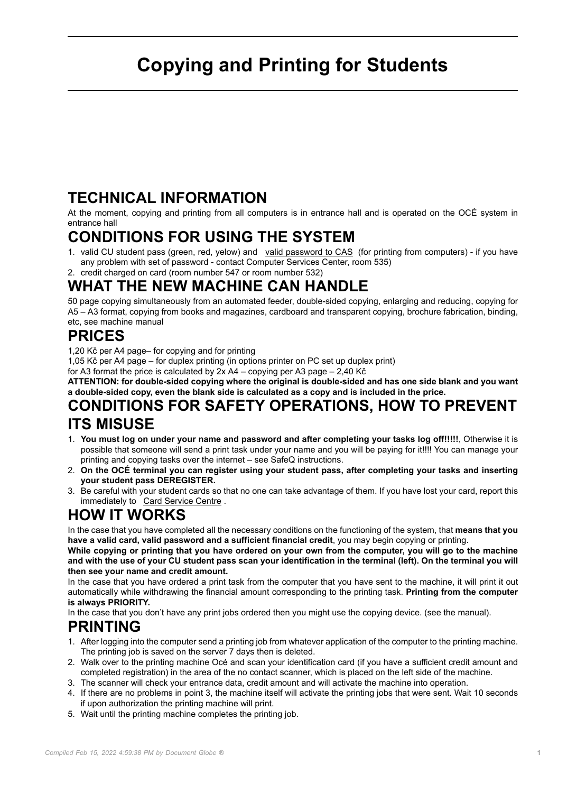# **Copying and Printing for Students**

## **TECHNICAL INFORMATION**

At the moment, copying and printing from all computers is in entrance hall and is operated on the OCÉ system in entrance hall

## **CONDITIONS FOR USING THE SYSTEM**

1. valid CU student pass (green, red, yelow) and [valid password to CAS](https://ldap.cuni.cz/en/index.php) (for printing from computers) - if you have any problem with set of password - contact Computer Services Center, room 535)

2. credit charged on card (room number 547 or room number 532)

## **WHAT THE NEW MACHINE CAN HANDLE**

50 page copying simultaneously from an automated feeder, double-sided copying, enlarging and reducing, copying for A5 – A3 format, copying from books and magazines, cardboard and transparent copying, brochure fabrication, binding, etc, see machine manual

## **PRICES**

1,20 Kč per A4 page– for copying and for printing

1,05 Kč per A4 page – for duplex printing (in options printer on PC set up duplex print)

for A3 format the price is calculated by 2x A4 – copying per A3 page – 2,40 Kč

**ATTENTION: for double-sided copying where the original is double-sided and has one side blank and you want a double-sided copy, even the blank side is calculated as a copy and is included in the price.**

#### **CONDITIONS FOR SAFETY OPERATIONS, HOW TO PREVENT ITS MISUSE**

- 1. **You must log on under your name and password and after completing your tasks log off!!!!!**, Otherwise it is possible that someone will send a print task under your name and you will be paying for it!!!! You can manage your printing and copying tasks over the internet – see SafeQ instructions.
- 2. **On the OCÉ terminal you can register using your student pass, after completing your tasks and inserting your student pass DEREGISTER.**
- 3. Be careful with your student cards so that no one can take advantage of them. If you have lost your card, report this immediately to [Card Service Centre](http://www.cuni.cz/UKEN-135.html).

## **HOW IT WORKS**

In the case that you have completed all the necessary conditions on the functioning of the system, that **means that you have a valid card, valid password and a sufficient financial credit**, you may begin copying or printing.

**While copying or printing that you have ordered on your own from the computer, you will go to the machine and with the use of your CU student pass scan your identification in the terminal (left). On the terminal you will then see your name and credit amount.**

In the case that you have ordered a print task from the computer that you have sent to the machine, it will print it out automatically while withdrawing the financial amount corresponding to the printing task. **Printing from the computer is always PRIORITY.**

In the case that you don't have any print jobs ordered then you might use the copying device. (see the manual).

#### **PRINTING**

- 1. After logging into the computer send a printing job from whatever application of the computer to the printing machine. The printing job is saved on the server 7 days then is deleted.
- 2. Walk over to the printing machine Océ and scan your identification card (if you have a sufficient credit amount and completed registration) in the area of the no contact scanner, which is placed on the left side of the machine.
- 3. The scanner will check your entrance data, credit amount and will activate the machine into operation.
- 4. If there are no problems in point 3, the machine itself will activate the printing jobs that were sent. Wait 10 seconds if upon authorization the printing machine will print.
- 5. Wait until the printing machine completes the printing job.